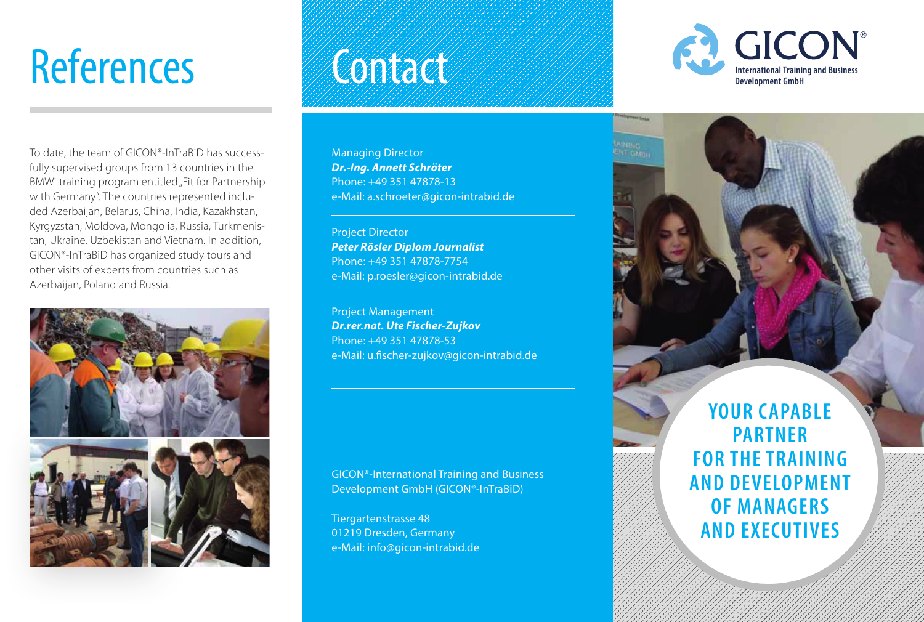To date, the team of GICON®-InTraBiD has successfully supervised groups from 13 countries in the BMWi training program entitled "Fit for Partnership with Germany". The countries represented included Azerbaijan, Belarus, China, India, Kazakhstan, Kyrgyzstan, Moldova, Mongolia, Russia, Turkmenistan, Ukraine, Uzbekistan and Vietnam. In addition, GICON®-InTraBiD has organized study tours and other visits of experts from countries such as Azerbaijan, Poland and Russia.



Managing Director *Dr.-Ing. Annett Schröter* Phone: +49 351 47878-13 e-Mail: a.schroeter@gicon-intrabid.de

Project Director *Peter Rösler Diplom Journalist* Phone: +49 351 47878-7754 e-Mail: p.roesler@gicon-intrabid.de

Project Management *Dr.rer.nat. Ute Fischer-Zujkov* Phone: +49 351 47878-53 e-Mail: u.fischer-zujkov@gicon-intrabid.de

GICON®-International Training and Business Development GmbH (GICON®-InTraBiD)

Tiergartenstrasse 48 01219 Dresden, Germany e-Mail: info@gicon-intrabid.de



**YOUR CAPABLE PARTNER FOR THE TRAINING AND DEVELOPMENT OF MANAGERS AND EXECUTIVES**